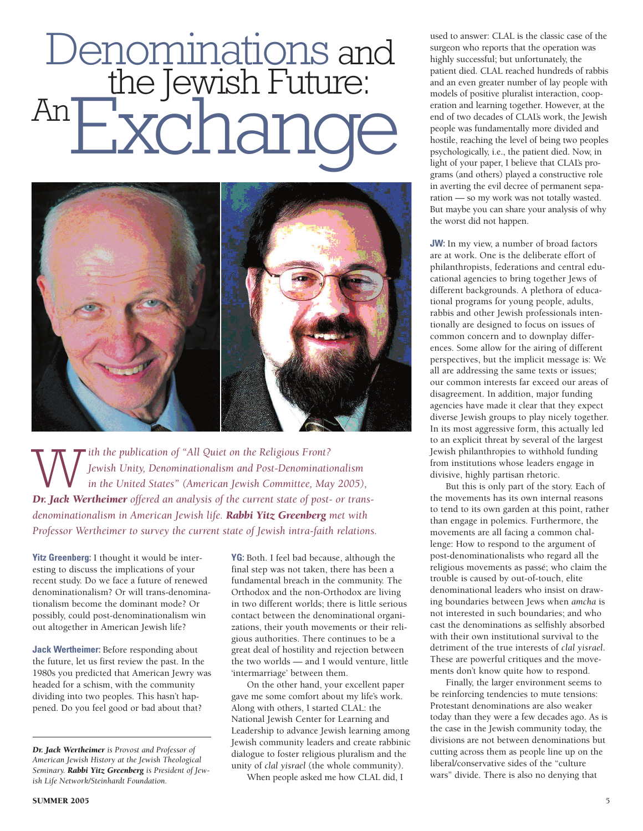## Denominations and<br>the Jewish Future: AnExchanc



Tith the publication of "All Quiet on the Religious Front? *Jewish Unity, Denominationalism and Post-Denominationalism in the United States" (American Jewish Committee, May 2005), Dr. Jack Wertheimer offered an analysis of the current state of post- or transdenominationalism in American Jewish life. Rabbi Yitz Greenberg met with Professor Wertheimer to survey the current state of Jewish intra-faith relations.*

**Yitz Greenberg:** I thought it would be interesting to discuss the implications of your recent study. Do we face a future of renewed denominationalism? Or will trans-denominationalism become the dominant mode? Or possibly, could post-denominationalism win out altogether in American Jewish life?

**Jack Wertheimer:** Before responding about the future, let us first review the past. In the 1980s you predicted that American Jewry was headed for a schism, with the community dividing into two peoples. This hasn't happened. Do you feel good or bad about that?

**YG:** Both. I feel bad because, although the final step was not taken, there has been a fundamental breach in the community. The Orthodox and the non-Orthodox are living in two different worlds; there is little serious contact between the denominational organizations, their youth movements or their religious authorities. There continues to be a great deal of hostility and rejection between the two worlds — and I would venture, little 'intermarriage' between them.

On the other hand, your excellent paper gave me some comfort about my life's work. Along with others, I started CLAL: the National Jewish Center for Learning and Leadership to advance Jewish learning among Jewish community leaders and create rabbinic dialogue to foster religious pluralism and the unity of *clal yisrael* (the whole community).

When people asked me how CLAL did, I

used to answer: CLAL is the classic case of the surgeon who reports that the operation was highly successful; but unfortunately, the patient died. CLAL reached hundreds of rabbis and an even greater number of lay people with models of positive pluralist interaction, cooperation and learning together. However, at the end of two decades of CLAL's work, the Jewish people was fundamentally more divided and hostile, reaching the level of being two peoples psychologically, i.e., the patient died. Now, in light of your paper, I believe that CLAL's programs (and others) played a constructive role in averting the evil decree of permanent separation — so my work was not totally wasted. But maybe you can share your analysis of why the worst did not happen.

**JW:** In my view, a number of broad factors are at work. One is the deliberate effort of philanthropists, federations and central educational agencies to bring together Jews of different backgrounds. A plethora of educational programs for young people, adults, rabbis and other Jewish professionals intentionally are designed to focus on issues of common concern and to downplay differences. Some allow for the airing of different perspectives, but the implicit message is: We all are addressing the same texts or issues; our common interests far exceed our areas of disagreement. In addition, major funding agencies have made it clear that they expect diverse Jewish groups to play nicely together. In its most aggressive form, this actually led to an explicit threat by several of the largest Jewish philanthropies to withhold funding from institutions whose leaders engage in divisive, highly partisan rhetoric.

But this is only part of the story. Each of the movements has its own internal reasons to tend to its own garden at this point, rather than engage in polemics. Furthermore, the movements are all facing a common challenge: How to respond to the argument of post-denominationalists who regard all the religious movements as passé; who claim the trouble is caused by out-of-touch, elite denominational leaders who insist on drawing boundaries between Jews when *amcha* is not interested in such boundaries; and who cast the denominations as selfishly absorbed with their own institutional survival to the detriment of the true interests of *clal yisrael*. These are powerful critiques and the movements don't know quite how to respond.

Finally, the larger environment seems to be reinforcing tendencies to mute tensions: Protestant denominations are also weaker today than they were a few decades ago. As is the case in the Jewish community today, the divisions are not between denominations but cutting across them as people line up on the liberal/conservative sides of the "culture wars" divide. There is also no denying that

*Dr. Jack Wertheimer is Provost and Professor of American Jewish History at the Jewish Theological Seminary. Rabbi Yitz Greenberg is President of Jewish Life Network/Steinhardt Foundation.*